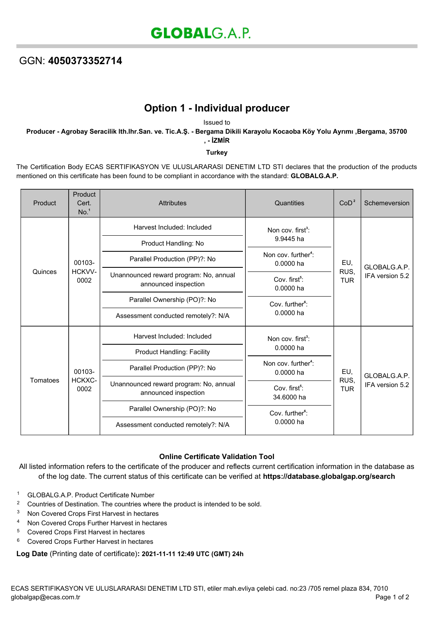## GGN: **4050373352714**

# **Option 1 - Individual producer**

Issued to

**Producer - Agrobay Seracilik lth.Ihr.San. ve. Tic.A.Ş. - Bergama Dikili Karayolu Kocaoba Köy Yolu Ayrımı ,Bergama, 35700 , - İZMİR**

#### **Turkey**

The Certification Body ECAS SERTIFIKASYON VE ULUSLARARASI DENETIM LTD STI declares that the production of the products mentioned on this certificate has been found to be compliant in accordance with the standard: **GLOBALG.A.P.**

| Product  | Product<br>Cert.<br>No. <sup>1</sup> | <b>Attributes</b>                                              | Quantities                                   | CoD <sup>2</sup>          | Schemeversion                   |
|----------|--------------------------------------|----------------------------------------------------------------|----------------------------------------------|---------------------------|---------------------------------|
| Quinces  | 00103-<br>HCKVV-<br>0002             | Harvest Included: Included                                     | Non cov. first <sup>3</sup> :<br>9.9445 ha   | EU,<br>RUS,<br><b>TUR</b> | GLOBALG.A.P.<br>IFA version 5.2 |
|          |                                      | Product Handling: No                                           |                                              |                           |                                 |
|          |                                      | Parallel Production (PP)?: No                                  | Non cov. further <sup>4</sup> :<br>0.0000 ha |                           |                                 |
|          |                                      | Unannounced reward program: No, annual<br>announced inspection | Cov. first <sup>5</sup> :<br>0.0000 ha       |                           |                                 |
|          |                                      | Parallel Ownership (PO)?: No                                   | Cov. further <sup>6</sup> :<br>$0.0000$ ha   |                           |                                 |
|          |                                      | Assessment conducted remotely?: N/A                            |                                              |                           |                                 |
| Tomatoes | 00103-<br>HCKXC-<br>0002             | Harvest Included: Included                                     | Non cov. $first^3$ :<br>$0.0000$ ha          | EU,<br>RUS,<br><b>TUR</b> | GLOBALG.A.P.<br>IFA version 5.2 |
|          |                                      | <b>Product Handling: Facility</b>                              |                                              |                           |                                 |
|          |                                      | Parallel Production (PP)?: No                                  | Non cov. further <sup>4</sup> :<br>0.0000 ha |                           |                                 |
|          |                                      | Unannounced reward program: No, annual<br>announced inspection | Cov. first <sup>5</sup> :<br>34.6000 ha      |                           |                                 |
|          |                                      | Parallel Ownership (PO)?: No                                   | Cov. further <sup>6</sup> :                  |                           |                                 |
|          |                                      | Assessment conducted remotely?: N/A                            | 0.0000 ha                                    |                           |                                 |

### **Online Certificate Validation Tool**

All listed information refers to the certificate of the producer and reflects current certification information in the database as of the log date. The current status of this certificate can be verified at **[https://database.globalgap.org/search](https://database.globalgap.org/globalgap/search/SearchMain.faces)**

- <sup>1</sup> GLOBALG.A.P. Product Certificate Number
- <sup>2</sup> Countries of Destination. The countries where the product is intended to be sold.
- <sup>3</sup> Non Covered Crops First Harvest in hectares
- <sup>4</sup> Non Covered Crops Further Harvest in hectares
- <sup>5</sup> Covered Crops First Harvest in hectares
- <sup>6</sup> Covered Crops Further Harvest in hectares

#### **Log Date** (Printing date of certificate)**: 2021-11-11 12:49 UTC (GMT) 24h**